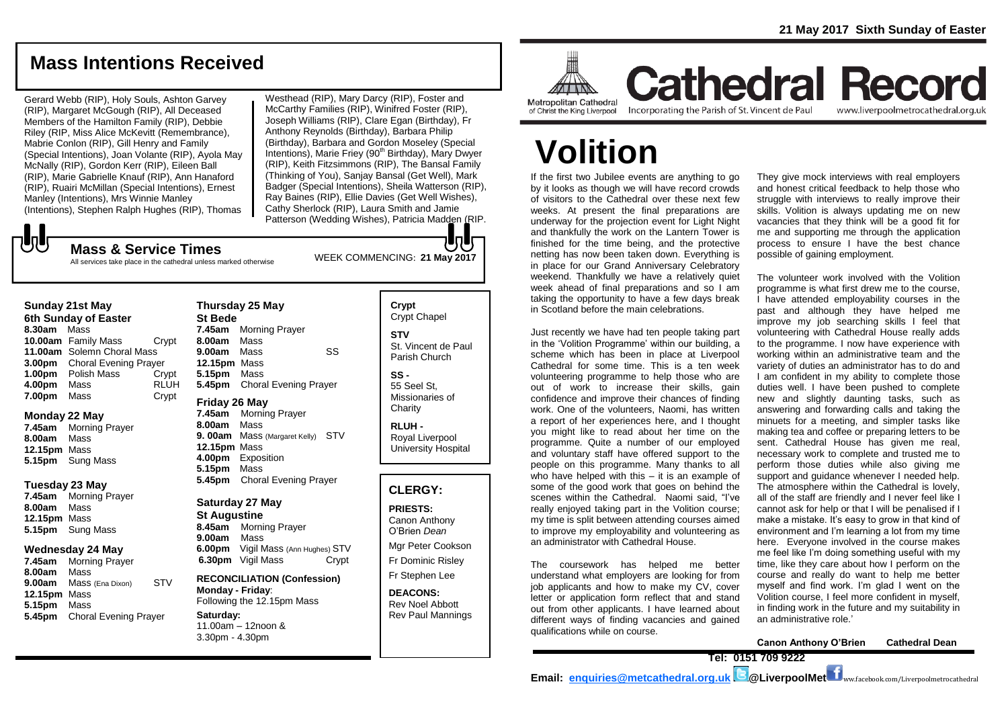# **Mass Intentions Received**

Gerard Webb (RIP), Holy Souls, Ashton Garvey (RIP), Margaret McGough (RIP), All Deceased Members of the Hamilton Family (RIP), Debbie Riley (RIP, Miss Alice McKevitt (Remembrance), Mabrie Conlon (RIP), Gill Henry and Family (Special Intentions), Joan Volante (RIP), Ayola May McNally (RIP), Gordon Kerr (RIP), Eileen Ball (RIP), Marie Gabrielle Knauf (RIP), Ann Hanaford (RIP), Ruairi McMillan (Special Intentions), Ernest Manley (Intentions), Mrs Winnie Manley (Intentions), Stephen Ralph Hughes (RIP), Thomas

Westhead (RIP), Mary Darcy (RIP), Foster and McCarthy Families (RIP), Winifred Foster (RIP), Joseph Williams (RIP), Clare Egan (Birthday), Fr Anthony Reynolds (Birthday), Barbara Philip (Birthday), Barbara and Gordon Moseley (Special Intentions), Marie Friey (90<sup>th</sup> Birthday), Mary Dwyer (RIP), Keith Fitzsimmons (RIP), The Bansal Family (Thinking of You), Sanjay Bansal (Get Well), Mark Badger (Special Intentions), Sheila Watterson (RIP), Ray Baines (RIP), Ellie Davies (Get Well Wishes), Cathy Sherlock (RIP), Laura Smith and Jamie Patterson (Wedding Wishes), Patricia Madden (RIP.

**July** 

WEEK COMMENCING: **21 May 2017 Mass & Service Times**

#### All services take place in the cathedral unless marked otherwise

### **Sunday 21st May**

**6th Sunday of Easter 8.30am** Mass **10.00am** Family Mass Crypt **11.00am** Solemn Choral Mass **3.00pm** Choral Evening Prayer **1.00pm** Polish Mass Crypt **4.00pm** Mass RLUH **7.00pm** Mass Crypt

### **Monday 22 May**

**7.45am** Morning Prayer **8.00am** Mass **12.15pm** Mass **5.15pm** Sung Mass

### **Tuesday 23 May**

**7.45am** Morning Prayer **8.00am** Mass **12.15pm** Mass **5.15pm** Sung Mass

### **Wednesday 24 May**

**7.45am** Morning Prayer **8.00am** Mass **9.00am** Mass (Ena Dixon) STV **12.15pm** Mass **5.15pm** Mass **5.45pm** Choral Evening Prayer

### **Thursday 25 May St Bede 7.45am** Morning Prayer

**8.00am** Mass **9.00am** Mass SS **12.15pm** Mass **5.15pm** Mass **5.45pm** Choral Evening Prayer

### **Friday 26 May**

**7.45am** Morning Prayer **8.00am** Mass **9. 00am** Mass (Margaret Kelly) STV **12.15pm** Mass **4.00pm** Exposition **5.15pm** Mass **5.45pm** Choral Evening Prayer

### **Saturday 27 May**

**St Augustine 8.45am** Morning Prayer **9.00am** Mass **6.00pm** Vigil Mass (Ann Hughes) STV **6.30pm** Vigil Mass Crypt

### **RECONCILIATION (Confession) Monday - Friday**: Following the 12.15pm Mass **Saturday:** 11.00am – 12noon & 3.30pm - 4.30pm

### **Crypt**  Crypt Chapel **STV** St. Vincent de Paul

Parish Church

**SS -** 55 Seel St, Missionaries of **Charity** 

**RLUH -** Royal Liverpool University Hospital

### **CLERGY:**

**PRIESTS:**

Canon Anthony O'Brien *Dean* Mgr Peter Cookson Fr Dominic Risley Fr Stephen Lee

**DEACONS:** Rev Noel Abbott Rev Paul Mannings



of Christ the King Liverpool

Incorporating the Parish of St. Vincent de Paul

**Cathedral Record** www.liverpoolmetrocathedral.org.uk

# **Volition**

If the first two Jubilee events are anything to go by it looks as though we will have record crowds of visitors to the Cathedral over these next few weeks. At present the final preparations are underway for the projection event for Light Night and thankfully the work on the Lantern Tower is finished for the time being, and the protective netting has now been taken down. Everything is in place for our Grand Anniversary Celebratory weekend. Thankfully we have a relatively quiet week ahead of final preparations and so I am taking the opportunity to have a few days break in Scotland before the main celebrations.

Just recently we have had ten people taking part in the 'Volition Programme' within our building, a scheme which has been in place at Liverpool Cathedral for some time. This is a ten week volunteering programme to help those who are out of work to increase their skills, gain confidence and improve their chances of finding work. One of the volunteers, Naomi, has written a report of her experiences here, and I thought you might like to read about her time on the programme. Quite a number of our employed and voluntary staff have offered support to the people on this programme. Many thanks to all who have helped with this – it is an example of some of the good work that goes on behind the scenes within the Cathedral. Naomi said, "I've really enjoyed taking part in the Volition course; my time is split between attending courses aimed to improve my employability and volunteering as an administrator with Cathedral House.

The coursework has helped me better understand what employers are looking for from job applicants and how to make my CV, cover letter or application form reflect that and stand out from other applicants. I have learned about different ways of finding vacancies and gained qualifications while on course.

They give mock interviews with real employers and honest critical feedback to help those who struggle with interviews to really improve their skills. Volition is always updating me on new vacancies that they think will be a good fit for me and supporting me through the application process to ensure I have the best chance possible of gaining employment.

The volunteer work involved with the Volition programme is what first drew me to the course, I have attended employability courses in the past and although they have helped me improve my job searching skills I feel that volunteering with Cathedral House really adds to the programme. I now have experience with working within an administrative team and the variety of duties an administrator has to do and I am confident in my ability to complete those duties well. I have been pushed to complete new and slightly daunting tasks, such as answering and forwarding calls and taking the minuets for a meeting, and simpler tasks like making tea and coffee or preparing letters to be sent. Cathedral House has given me real, necessary work to complete and trusted me to perform those duties while also giving me support and quidance whenever I needed help. The atmosphere within the Cathedral is lovely, all of the staff are friendly and I never feel like I cannot ask for help or that I will be penalised if I make a mistake. It's easy to grow in that kind of environment and I'm learning a lot from my time here. Everyone involved in the course makes me feel like I'm doing something useful with my time, like they care about how I perform on the course and really do want to help me better myself and find work. I'm glad I went on the Volition course, I feel more confident in myself, in finding work in the future and my suitability in an administrative role.'

**Canon Anthony O'Brien Cathedral Dean**

**Tel: 0151 709 9222** 

**Email: [enquiries@metcathedral.org.uk](mailto:enquiries@metcathedral.org.uk) @LiverpoolMet**  $f_{\text{ww.facebook.com/Liverpoolmetrocathedral}}$